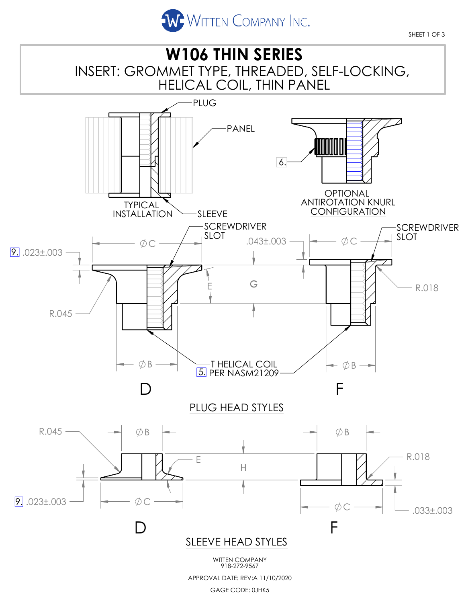

SHEET 1 OF 3



GAGE CODE: 0JHK5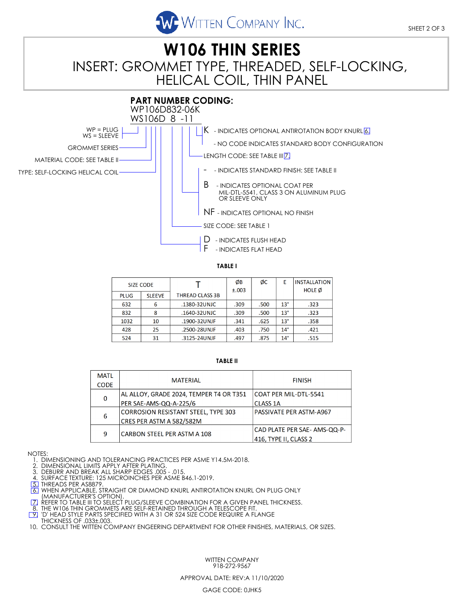

# INSERT: GROMMET TYPE, THREADED, SELF-LOCKING, HELICAL COIL, THIN PANEL **W106 THIN SERIES**



**TABLE I**

| SIZE CODE   |               |                 | ØΒ<br>±.003 | ØС   | E            | <b>INSTALLATION</b><br><b>HOLE Ø</b> |  |
|-------------|---------------|-----------------|-------------|------|--------------|--------------------------------------|--|
| <b>PLUG</b> | <b>SLEEVE</b> | THREAD CLASS 3B |             |      |              |                                      |  |
| 632         | 6             | .1380-32UNJC    | .309        | .500 | $13^\circ$   | .323                                 |  |
| 832         | 8             | .1640-32UNJC    | .309        | .500 | $13^\circ$   | .323                                 |  |
| 1032        | 10            | .1900-32UNJF    | .341        | .625 | $13^\circ$   | .358                                 |  |
| 428         | 25            | .2500-28UNJF    | .403        | .750 | $14^{\circ}$ | .421                                 |  |
| 524         | 31            | .3125-24UNJF    | .497        | .875 | $14^{\circ}$ | .515                                 |  |

#### **TABLE II**

| <b>MATL</b> |                                         |                                |  |  |
|-------------|-----------------------------------------|--------------------------------|--|--|
|             | <b>MATERIAL</b>                         | <b>FINISH</b>                  |  |  |
| <b>CODE</b> |                                         |                                |  |  |
| $\mathbf 0$ | AL ALLOY, GRADE 2024, TEMPER T4 OR T351 | COAT PER MIL-DTL-5541          |  |  |
|             | PER SAE-AMS-QQ-A-225/6                  | <b>CLASS 1A</b>                |  |  |
| 6           | CORROSION RESISTANT STEEL, TYPE 303     | <b>PASSIVATE PER ASTM-A967</b> |  |  |
|             | CRES PER ASTM A 582/582M                |                                |  |  |
| 9           | CARBON STEEL PER ASTM A 108             | CAD PLATE PER SAE- AMS-QQ-P-   |  |  |
|             |                                         | 416, TYPE II, CLASS 2          |  |  |

NOTES:

1. DIMENSIONING AND TOLERANCING PRACTICES PER ASME Y14.5M-2018.

2. DIMENSIONAL LIMITS APPLY AFTER PLATING.

3. DEBURR AND BREAK ALL SHARP EDGES .005 - .015. 4. SURFACE TEXTURE: 125 MICROINCHES PER ASME B46.1-2019.

5. THREADS PER AS8879.

<u>[6]</u> WHEN APPLICABLE, STRAIGHT OR DIAMOND KNURL ANTIROTATION KNURL ON PLUG ONLY<br>(MANUFACTURER'S OPTION).<br>[<u>7]</u> REFER TO TABLE III TO SELECT PLUG/SLEEVE COMBINATION FOR A GIVEN PANEL THICKNESS.

8. THE W106 THIN GROMMETS ARE SELF-RETAINED THROUGH A TELESCOPE FIT.<br>[9] 'D' HEAD STYLE PARTS SPECIFIED WITH A 31 OR 524 SIZE CODE REQUIRE A FLANGE

THICKNESS OF .033±.003.

10. CONSULT THE WITTEN COMPANY ENGEERING DEPARTMENT FOR OTHER FINISHES, MATERIALS, OR SIZES.

WITTEN COMPANY 918-272-9567

#### APPROVAL DATE: REV:A 11/10/2020

GAGE CODE: 0JHK5